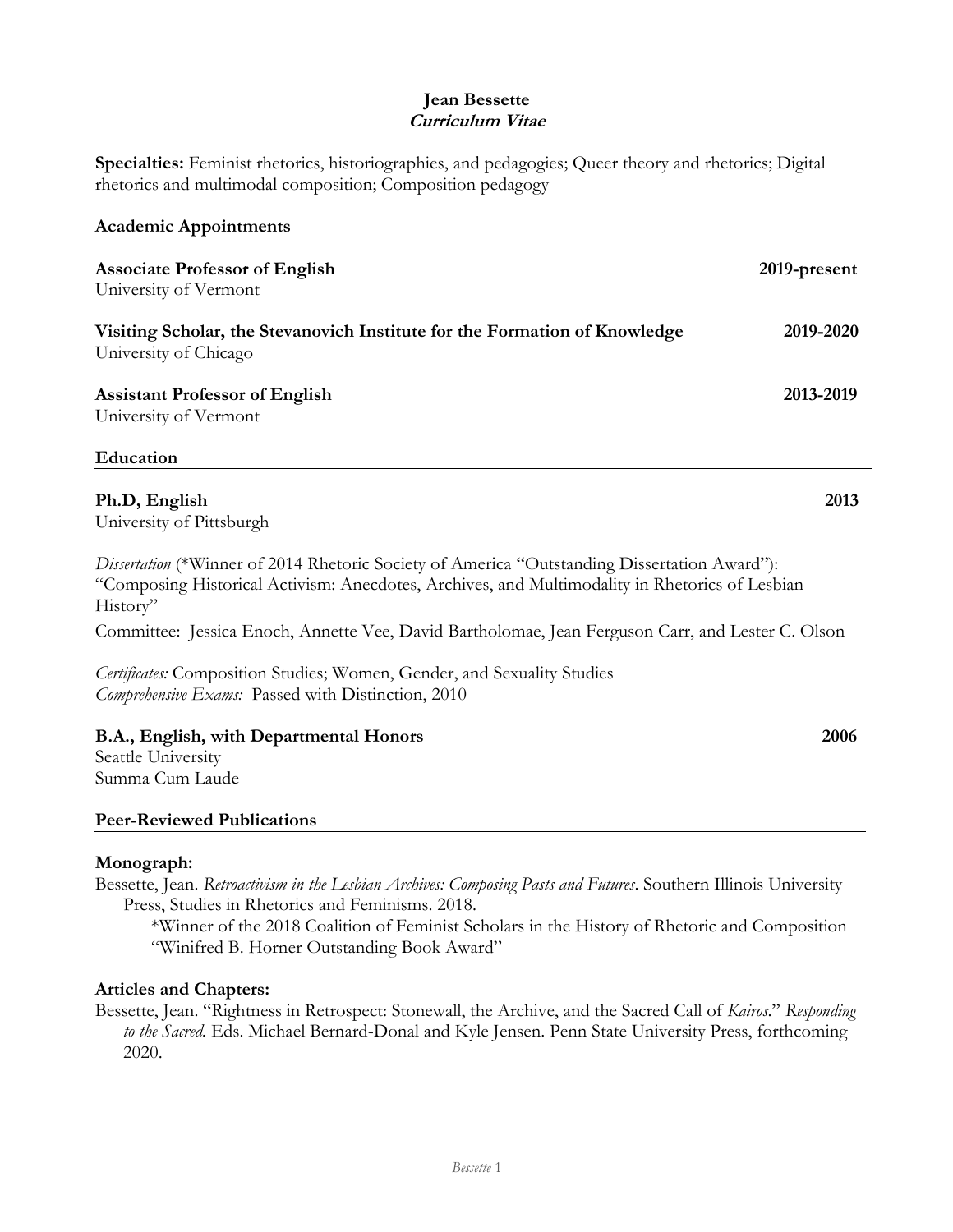## **Jean Bessette Curriculum Vitae**

**Specialties:** Feminist rhetorics, historiographies, and pedagogies; Queer theory and rhetorics; Digital rhetorics and multimodal composition; Composition pedagogy

| <b>Academic Appointments</b>                                                                                                                                                                               |              |
|------------------------------------------------------------------------------------------------------------------------------------------------------------------------------------------------------------|--------------|
| <b>Associate Professor of English</b><br>University of Vermont                                                                                                                                             | 2019-present |
| Visiting Scholar, the Stevanovich Institute for the Formation of Knowledge<br>University of Chicago                                                                                                        | 2019-2020    |
| <b>Assistant Professor of English</b><br>University of Vermont                                                                                                                                             | 2013-2019    |
| Education                                                                                                                                                                                                  |              |
| Ph.D, English<br>University of Pittsburgh                                                                                                                                                                  | 2013         |
| Dissertation (*Winner of 2014 Rhetoric Society of America "Outstanding Dissertation Award"):<br>"Composing Historical Activism: Anecdotes, Archives, and Multimodality in Rhetorics of Lesbian<br>History" |              |

Committee: Jessica Enoch, Annette Vee, David Bartholomae, Jean Ferguson Carr, and Lester C. Olson

*Certificates:* Composition Studies; Women, Gender, and Sexuality Studies *Comprehensive Exams:* Passed with Distinction, 2010

# **B.A., English, with Departmental Honors 2006**

Seattle University Summa Cum Laude

### **Peer-Reviewed Publications**

### **Monograph:**

Bessette, Jean. *Retroactivism in the Lesbian Archives: Composing Pasts and Futures*. Southern Illinois University Press, Studies in Rhetorics and Feminisms. 2018.

\*Winner of the 2018 Coalition of Feminist Scholars in the History of Rhetoric and Composition "Winifred B. Horner Outstanding Book Award"

### **Articles and Chapters:**

Bessette, Jean. "Rightness in Retrospect: Stonewall, the Archive, and the Sacred Call of *Kairos*." *Responding to the Sacred.* Eds. Michael Bernard-Donal and Kyle Jensen. Penn State University Press, forthcoming 2020.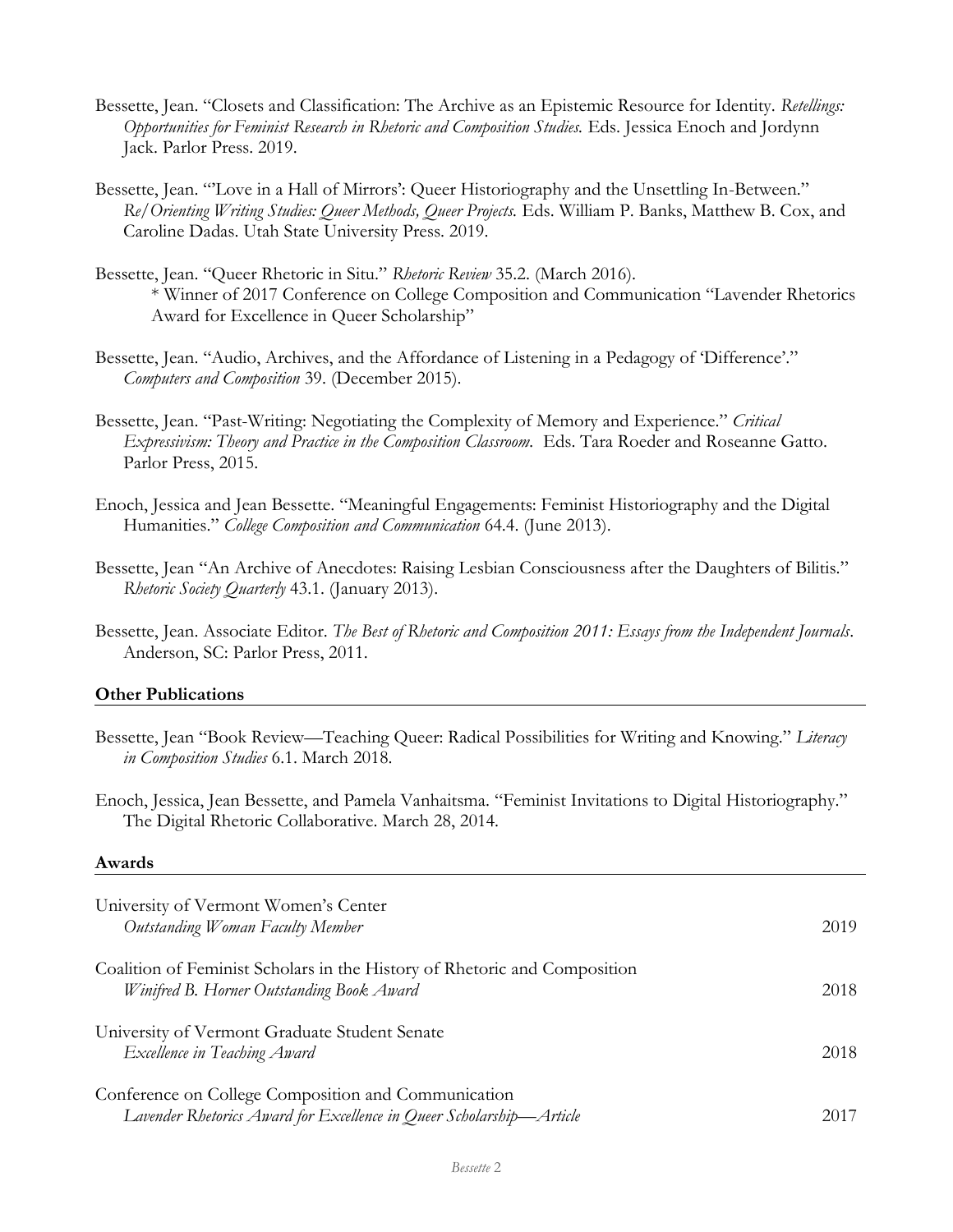- Bessette, Jean. "Closets and Classification: The Archive as an Epistemic Resource for Identity. *Retellings: Opportunities for Feminist Research in Rhetoric and Composition Studies.* Eds. Jessica Enoch and Jordynn Jack. Parlor Press. 2019.
- Bessette, Jean. "Love in a Hall of Mirrors': Queer Historiography and the Unsettling In-Between." *Re/Orienting Writing Studies: Queer Methods, Queer Projects.* Eds. William P. Banks, Matthew B. Cox, and Caroline Dadas. Utah State University Press. 2019.
- Bessette, Jean. "Queer Rhetoric in Situ." *Rhetoric Review* 35.2. (March 2016). \* Winner of 2017 Conference on College Composition and Communication "Lavender Rhetorics Award for Excellence in Queer Scholarship"
- Bessette, Jean. "Audio, Archives, and the Affordance of Listening in a Pedagogy of 'Difference'." *Computers and Composition* 39. (December 2015).
- Bessette, Jean. "Past-Writing: Negotiating the Complexity of Memory and Experience." *Critical Expressivism: Theory and Practice in the Composition Classroom.* Eds. Tara Roeder and Roseanne Gatto. Parlor Press, 2015.
- Enoch, Jessica and Jean Bessette. "Meaningful Engagements: Feminist Historiography and the Digital Humanities." *College Composition and Communication* 64.4. (June 2013).
- Bessette, Jean "An Archive of Anecdotes: Raising Lesbian Consciousness after the Daughters of Bilitis." *Rhetoric Society Quarterly* 43.1. (January 2013).
- Bessette, Jean. Associate Editor. *The Best of Rhetoric and Composition 2011: Essays from the Independent Journals*. Anderson, SC: Parlor Press, 2011.

#### **Other Publications**

Bessette, Jean "Book Review—Teaching Queer: Radical Possibilities for Writing and Knowing." *Literacy in Composition Studies* 6.1. March 2018.

Enoch, Jessica, Jean Bessette, and Pamela Vanhaitsma. "Feminist Invitations to Digital Historiography." The Digital Rhetoric Collaborative. March 28, 2014.

#### **Awards**

| University of Vermont Women's Center<br>Outstanding Woman Faculty Member                                                    | 2019 |
|-----------------------------------------------------------------------------------------------------------------------------|------|
| Coalition of Feminist Scholars in the History of Rhetoric and Composition<br>Winifred B. Horner Outstanding Book Award      | 2018 |
| University of Vermont Graduate Student Senate<br>Excellence in Teaching Award                                               | 2018 |
| Conference on College Composition and Communication<br>Lavender Rhetorics Award for Excellence in Queer Scholarship-Article | 2017 |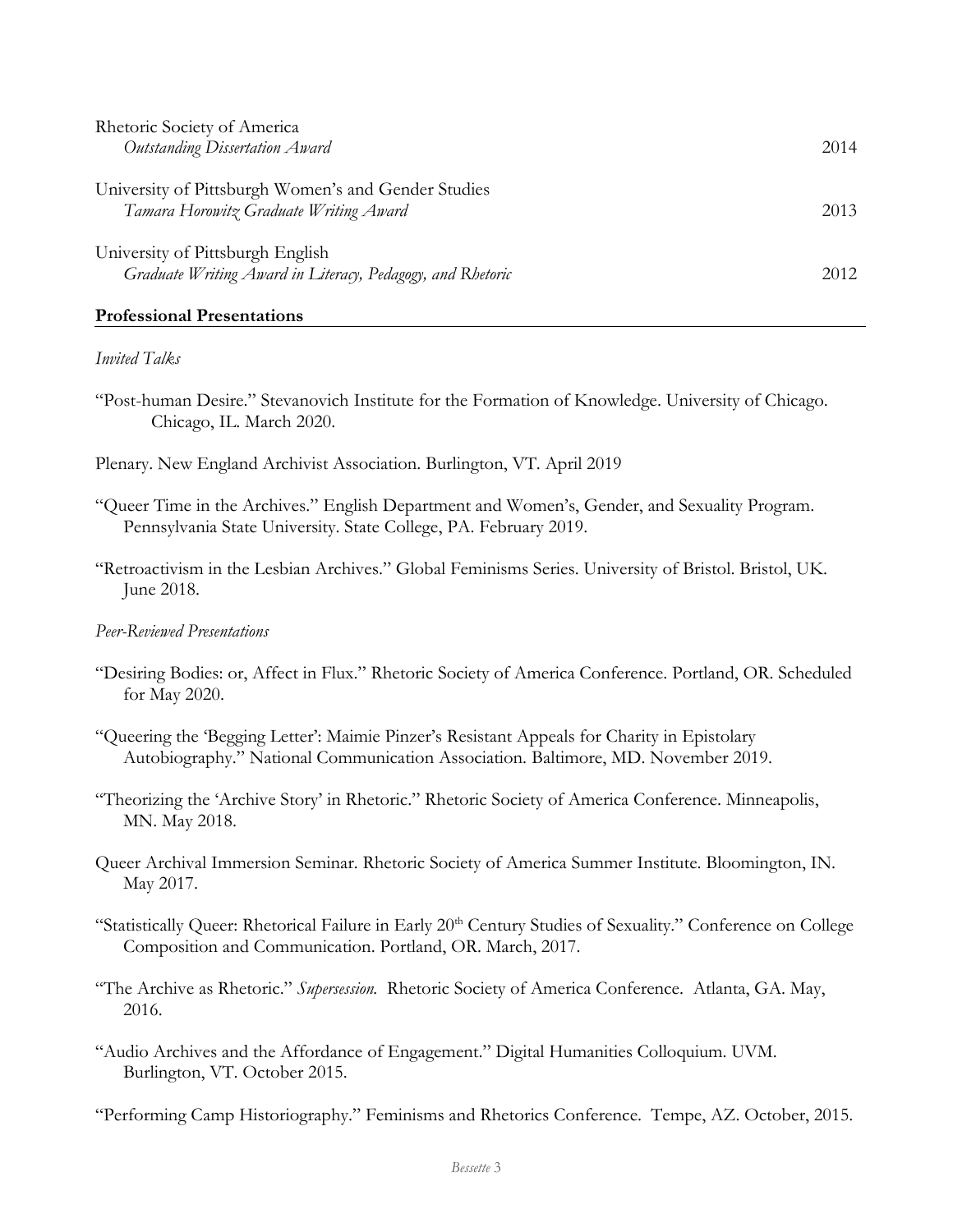| Rhetoric Society of America                                                                    |      |
|------------------------------------------------------------------------------------------------|------|
| Outstanding Dissertation Award                                                                 | 2014 |
| University of Pittsburgh Women's and Gender Studies<br>Tamara Horowitz Graduate Writing Award  | 2013 |
| University of Pittsburgh English<br>Graduate Writing Award in Literacy, Pedagogy, and Rhetoric | 2012 |

#### **Professional Presentations**

#### *Invited Talks*

- "Post-human Desire." Stevanovich Institute for the Formation of Knowledge. University of Chicago. Chicago, IL. March 2020.
- Plenary. New England Archivist Association. Burlington, VT. April 2019
- "Queer Time in the Archives." English Department and Women's, Gender, and Sexuality Program. Pennsylvania State University. State College, PA. February 2019.
- "Retroactivism in the Lesbian Archives." Global Feminisms Series. University of Bristol. Bristol, UK. June 2018.

#### *Peer-Reviewed Presentations*

- "Desiring Bodies: or, Affect in Flux." Rhetoric Society of America Conference. Portland, OR. Scheduled for May 2020.
- "Queering the 'Begging Letter': Maimie Pinzer's Resistant Appeals for Charity in Epistolary Autobiography." National Communication Association. Baltimore, MD. November 2019.
- "Theorizing the 'Archive Story' in Rhetoric." Rhetoric Society of America Conference. Minneapolis, MN. May 2018.
- Queer Archival Immersion Seminar. Rhetoric Society of America Summer Institute. Bloomington, IN. May 2017.
- "Statistically Queer: Rhetorical Failure in Early 20<sup>th</sup> Century Studies of Sexuality." Conference on College Composition and Communication. Portland, OR. March, 2017.
- "The Archive as Rhetoric." *Supersession.* Rhetoric Society of America Conference. Atlanta, GA. May, 2016.
- "Audio Archives and the Affordance of Engagement." Digital Humanities Colloquium. UVM. Burlington, VT. October 2015.

"Performing Camp Historiography." Feminisms and Rhetorics Conference. Tempe, AZ. October, 2015.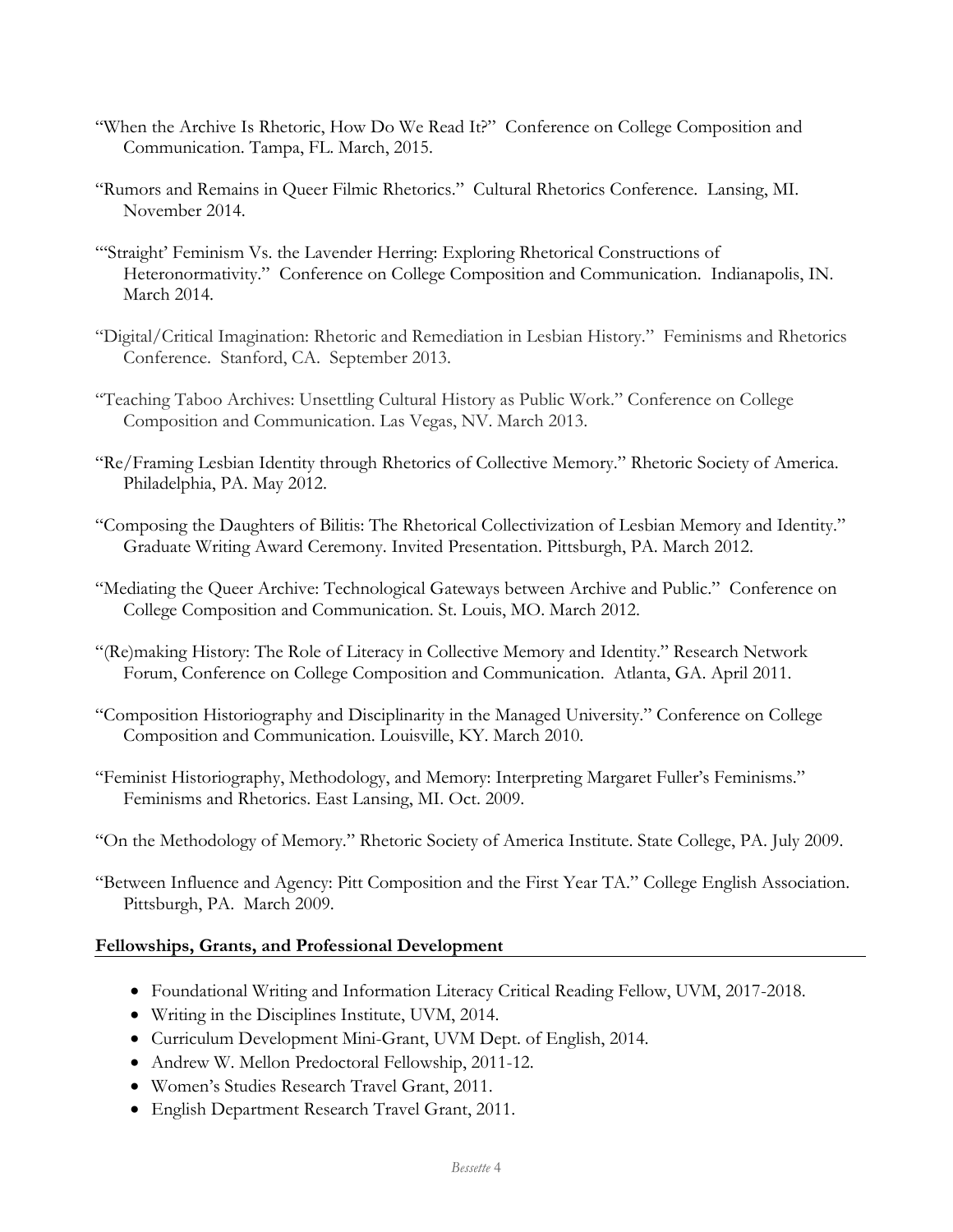- "When the Archive Is Rhetoric, How Do We Read It?" Conference on College Composition and Communication. Tampa, FL. March, 2015.
- "Rumors and Remains in Queer Filmic Rhetorics." Cultural Rhetorics Conference. Lansing, MI. November 2014.
- "'Straight' Feminism Vs. the Lavender Herring: Exploring Rhetorical Constructions of Heteronormativity." Conference on College Composition and Communication. Indianapolis, IN. March 2014.
- "Digital/Critical Imagination: Rhetoric and Remediation in Lesbian History." Feminisms and Rhetorics Conference. Stanford, CA. September 2013.
- "Teaching Taboo Archives: Unsettling Cultural History as Public Work." Conference on College Composition and Communication. Las Vegas, NV. March 2013.
- "Re/Framing Lesbian Identity through Rhetorics of Collective Memory." Rhetoric Society of America. Philadelphia, PA. May 2012.
- "Composing the Daughters of Bilitis: The Rhetorical Collectivization of Lesbian Memory and Identity." Graduate Writing Award Ceremony. Invited Presentation. Pittsburgh, PA. March 2012.
- "Mediating the Queer Archive: Technological Gateways between Archive and Public." Conference on College Composition and Communication. St. Louis, MO. March 2012.
- "(Re)making History: The Role of Literacy in Collective Memory and Identity." Research Network Forum, Conference on College Composition and Communication. Atlanta, GA. April 2011.
- "Composition Historiography and Disciplinarity in the Managed University." Conference on College Composition and Communication. Louisville, KY. March 2010.
- "Feminist Historiography, Methodology, and Memory: Interpreting Margaret Fuller's Feminisms." Feminisms and Rhetorics. East Lansing, MI. Oct. 2009.
- "On the Methodology of Memory." Rhetoric Society of America Institute. State College, PA. July 2009.

"Between Influence and Agency: Pitt Composition and the First Year TA." College English Association. Pittsburgh, PA. March 2009.

### **Fellowships, Grants, and Professional Development**

- Foundational Writing and Information Literacy Critical Reading Fellow, UVM, 2017-2018.
- Writing in the Disciplines Institute, UVM, 2014.
- Curriculum Development Mini-Grant, UVM Dept. of English, 2014.
- Andrew W. Mellon Predoctoral Fellowship, 2011-12.
- Women's Studies Research Travel Grant, 2011.
- English Department Research Travel Grant, 2011.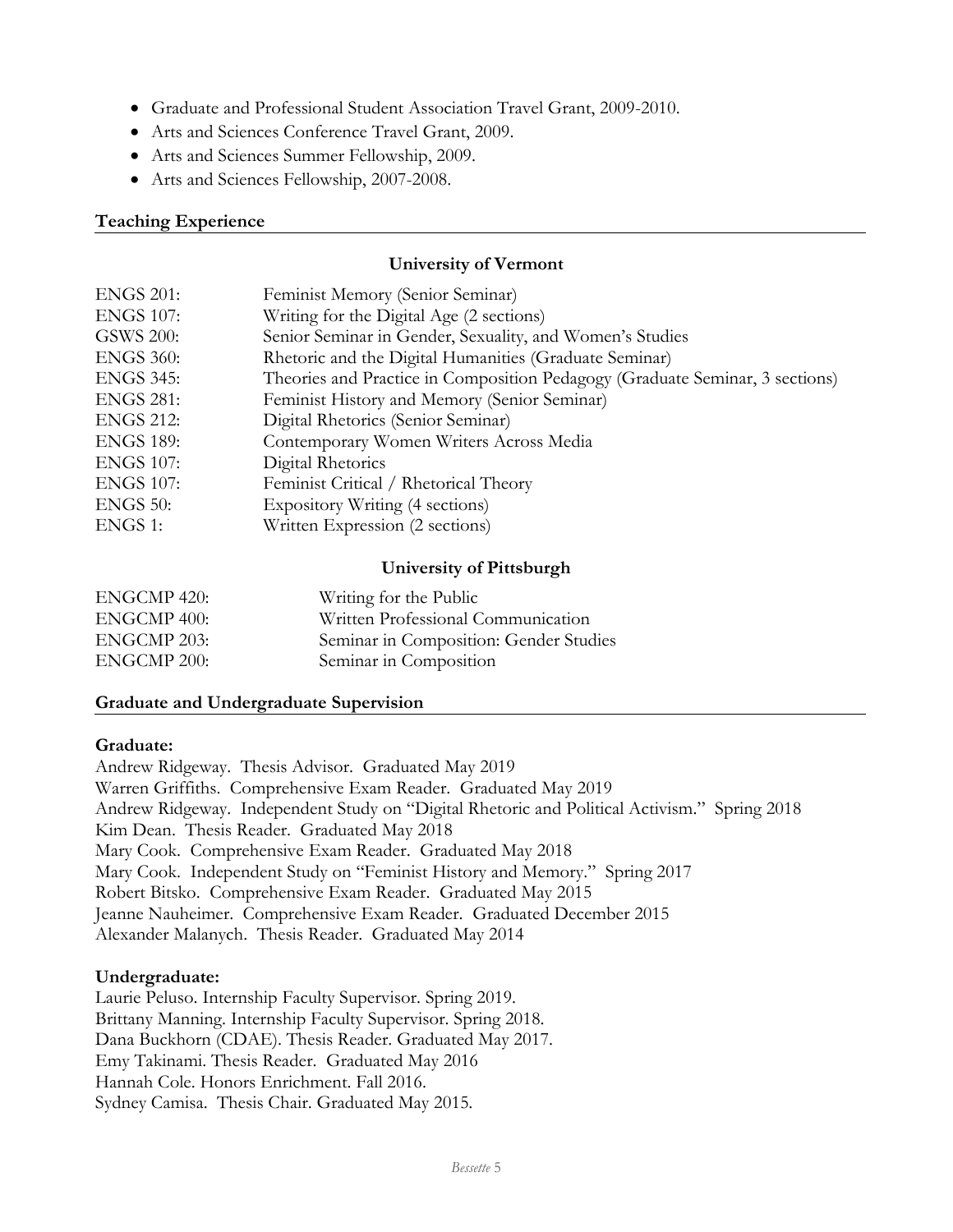- Graduate and Professional Student Association Travel Grant, 2009-2010.
- Arts and Sciences Conference Travel Grant, 2009.
- Arts and Sciences Summer Fellowship, 2009.
- Arts and Sciences Fellowship, 2007-2008.

### **Teaching Experience**

#### **University of Vermont**

| Feminist Memory (Senior Seminar)                                             |
|------------------------------------------------------------------------------|
| Writing for the Digital Age (2 sections)                                     |
| Senior Seminar in Gender, Sexuality, and Women's Studies                     |
| Rhetoric and the Digital Humanities (Graduate Seminar)                       |
| Theories and Practice in Composition Pedagogy (Graduate Seminar, 3 sections) |
| Feminist History and Memory (Senior Seminar)                                 |
| Digital Rhetorics (Senior Seminar)                                           |
| Contemporary Women Writers Across Media                                      |
| Digital Rhetorics                                                            |
| Feminist Critical / Rhetorical Theory                                        |
| Expository Writing (4 sections)                                              |
| Written Expression (2 sections)                                              |
|                                                                              |

### **University of Pittsburgh**

| ENGCMP 420: | Writing for the Public                 |
|-------------|----------------------------------------|
| ENGCMP 400: | Written Professional Communication     |
| ENGCMP 203: | Seminar in Composition: Gender Studies |
| ENGCMP 200: | Seminar in Composition                 |

### **Graduate and Undergraduate Supervision**

#### **Graduate:**

Andrew Ridgeway. Thesis Advisor. Graduated May 2019 Warren Griffiths. Comprehensive Exam Reader. Graduated May 2019 Andrew Ridgeway. Independent Study on "Digital Rhetoric and Political Activism." Spring 2018 Kim Dean. Thesis Reader. Graduated May 2018 Mary Cook. Comprehensive Exam Reader. Graduated May 2018 Mary Cook. Independent Study on "Feminist History and Memory." Spring 2017 Robert Bitsko. Comprehensive Exam Reader. Graduated May 2015 Jeanne Nauheimer. Comprehensive Exam Reader. Graduated December 2015 Alexander Malanych. Thesis Reader. Graduated May 2014

### **Undergraduate:**

Laurie Peluso. Internship Faculty Supervisor. Spring 2019. Brittany Manning. Internship Faculty Supervisor. Spring 2018. Dana Buckhorn (CDAE). Thesis Reader. Graduated May 2017. Emy Takinami. Thesis Reader. Graduated May 2016 Hannah Cole. Honors Enrichment. Fall 2016. Sydney Camisa. Thesis Chair. Graduated May 2015.